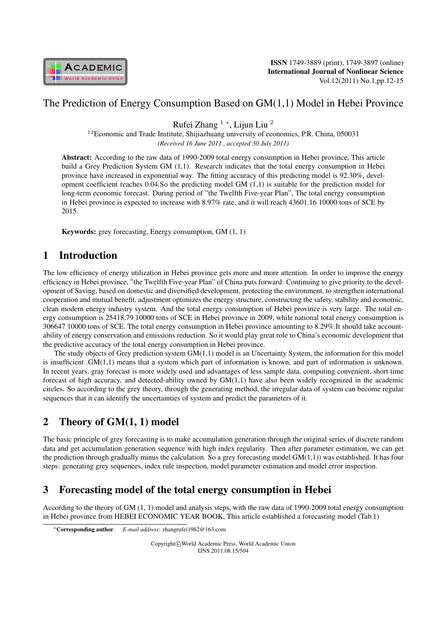

## The Prediction of Energy Consumption Based on GM(1,1) Model in Hebei Province

Rufei Zhang <sup>1</sup> *<sup>∗</sup>* , Lijun Liu <sup>2</sup>

 $12$ Economic and Trade Institute, Shijiazhuang university of economics, P.R. China, 050031 *(Received 16 June 2011 , accepted 30 July 2011)*

Abstract: According to the raw data of 1990-2009 total energy consumption in Hebei province, This article build a Grey Prediction System GM (1,1). Research indicates that the total energy consumption in Hebei province have increased in exponential way. The fitting accuracy of this predicting model is 92.30%, development coefficient reaches 0.04.So the predicting model GM (1,1) is suitable for the prediction model for long-term economic forecast. During period of "the Twelfth Five-year Plan", The total energy consumption in Hebei province is expected to increase with 8.97% rate, and it will reach 43601.16 10000 tons of SCE by 2015.

Keywords: grey forecasting, Energy consumption, GM (1, 1)

## 1 Introduction

The low efficiency of energy utilization in Hebei province gets more and more attention. In order to improve the energy efficiency in Hebei province, "the Twelfth Five-year Plan" of China puts forward: Continuing to give priority to the development of Saving, based on domestic and diversified development, protecting the environment, to strengthen international cooperation and mutual benefit, adjustment optimizes the energy structure, constructing the safety, stability and economic, clean modern energy industry system. And the total energy consumption of Hebei province is very large. The total energy consumption is 25418.79 10000 tons of SCE in Hebei province in 2009, while national total energy consumption is 306647 10000 tons of SCE. The total energy consumption in Hebei province amounting to 8.29%.It should take accountability of energy conservation and emissions reduction. So it would play great role to China's economic development that the predictive accuracy of the total energy consumption in Hebei province.

The study objects of Grey prediction system GM(1,1) model is an Uncertainty System, the information for this model is insufficient .GM(1,1) means that a system which part of information is known, and part of information is unknown. In recent years, gray forecast is more widely used and advantages of less sample data, computing convenient, short time forecast of high accuracy, and detected-ability owned by GM(1,1) have also been widely recognized in the academic circles. So according to the grey theory, through the generating method, the irregular data of system can become regular sequences that it can identify the uncertainties of system and predict the parameters of it.

# 2 Theory of GM(1, 1) model

The basic principle of grey forecasting is to make accumulation generation through the original series of discrete random data and get accumulation generation sequence with high index regularity. Then after parameter estimation, we can get the prediction through gradually minus the calculation. So a grey forecasting model  $GM(1,1)$ ) was established. It has four steps: generating grey sequences, index rule inspection, model parameter estimation and model error inspection.

# 3 Forecasting model of the total energy consumption in Hebei

According to the theory of GM (1, 1) model and analysis steps, with the raw data of 1990-2009 total energy consumption in Hebei province from HEBEI ECONOMIC YEAR BOOK, This article established a forecasting model (Tab.1)

Copyright*⃝*c World Academic Press, World Academic Union IJNS.2011.08.15/504

*<sup>∗</sup>*Corresponding author. *E-mail address*: zhangrufei1982@163.com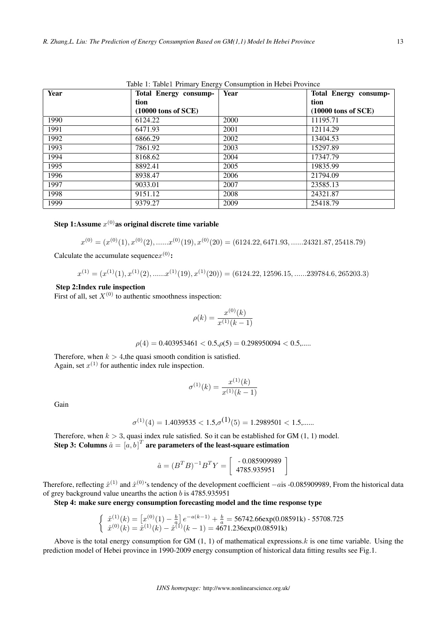Table 1: Table1 Primary Energy Consumption in Hebei Province

| Year | <b>Total Energy consump-</b>   | Year | <b>Total Energy consump-</b> |
|------|--------------------------------|------|------------------------------|
|      | tion                           |      | tion                         |
|      | $(10000 \text{ tons of } SCE)$ |      | $(10000$ tons of SCE)        |
| 1990 | 6124.22                        | 2000 | 11195.71                     |
| 1991 | 6471.93                        | 2001 | 12114.29                     |
| 1992 | 6866.29                        | 2002 | 13404.53                     |
| 1993 | 7861.92                        | 2003 | 15297.89                     |
| 1994 | 8168.62                        | 2004 | 17347.79                     |
| 1995 | 8892.41                        | 2005 | 19835.99                     |
| 1996 | 8938.47                        | 2006 | 21794.09                     |
| 1997 | 9033.01                        | 2007 | 23585.13                     |
| 1998 | 9151.12                        | 2008 | 24321.87                     |
| 1999 | 9379.27                        | 2009 | 25418.79                     |

#### Step 1:Assume  $x^{(0)}$ as original discrete time variable

$$
x^{(0)} = (x^{(0)}(1), x^{(0)}(2), \dots, x^{(0)}(19), x^{(0)}(20) = (6124.22, 6471.93, \dots, 24321.87, 25418.79)
$$

Calculate the accumulate sequence $x^{(0)}$ :

$$
x^{(1)} = (x^{(1)}(1), x^{(1)}(2), \dots, x^{(1)}(19), x^{(1)}(20)) = (6124.22, 12596.15, \dots, 239784.6, 265203.3)
$$

#### Step 2:Index rule inspection

First of all, set  $X^{(0)}$  to authentic smoothness inspection:

$$
\rho(k) = \frac{x^{(0)}(k)}{x^{(1)}(k-1)}
$$

 $\rho(4) = 0.403953461 < 0.5, \rho(5) = 0.298950094 < 0.5, \dots$ 

Therefore, when  $k > 4$ , the quasi smooth condition is satisfied. Again, set  $x^{(1)}$  for authentic index rule inspection.

$$
\sigma^{(1)}(k) = \frac{x^{(1)}(k)}{x^{(1)}(k-1)}
$$

Gain

$$
\sigma^{(1)}(4) = 1.4039535 < 1.5, \sigma^{(1)}(5) = 1.2989501 < 1.5, \dots
$$

Therefore, when  $k > 3$ , quasi index rule satisfied. So it can be established for GM  $(1, 1)$  model. Step 3: Columns  $\hat a = \left[a, b\right]^T$  are parameters of the least-square estimation

$$
\hat{a} = (B^T B)^{-1} B^T Y = \left[ \begin{array}{c} -0.085909989 \\ 4785.935951 \end{array} \right]
$$

Therefore, reflecting  $\hat{x}^{(1)}$  and  $\hat{x}^{(0)}$ 's tendency of the development coefficient *−a*is -0.085909989, From the historical data of grey background value unearths the action  $b$  is 4785.935951

Step 4: make sure energy consumption forecasting model and the time response type

$$
\begin{cases} \hat{x}^{(1)}(k) = \left[ x^{(0)}(1) - \frac{b}{a} \right] e^{-a(k-1)} + \frac{b}{a} = 56742.66 \exp(0.08591k) - 55708.725 \\ \hat{x}^{(0)}(k) = \hat{x}^{(1)}(k) - \hat{x}^{(1)}(k-1) = 4671.236 \exp(0.08591k) \end{cases}
$$

Above is the total energy consumption for GM  $(1, 1)$  of mathematical expressions. *k* is one time variable. Using the prediction model of Hebei province in 1990-2009 energy consumption of historical data fitting results see Fig.1.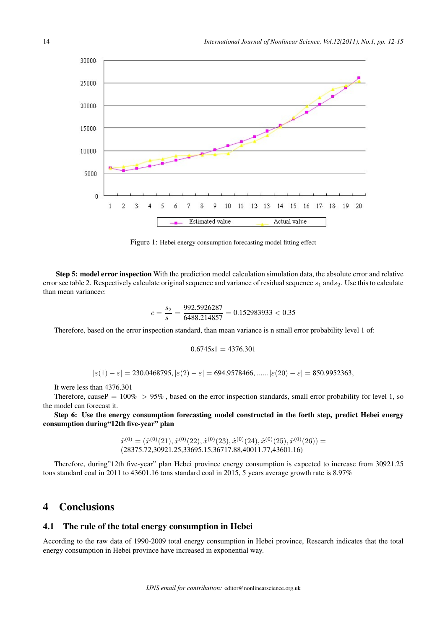

Figure 1: Hebei energy consumption forecasting model fitting effect

Step 5: model error inspection With the prediction model calculation simulation data, the absolute error and relative error see table 2. Respectively calculate original sequence and variance of residual sequence  $s_1$  ands<sub>2</sub>. Use this to calculate than mean variance $c$ :

$$
c = \frac{s_2}{s_1} = \frac{992.5926287}{6488.214857} = 0.152983933 < 0.35
$$

Therefore, based on the error inspection standard, than mean variance is n small error probability level 1 of:

$$
0.6745s1 = 4376.301
$$

*∣* $\varepsilon(1) - \bar{\varepsilon}$ *∣* = 230.0468795,  $|\varepsilon(2) - \bar{\varepsilon}|$  = 694.9578466, ......  $|\varepsilon(20) - \bar{\varepsilon}|$  = 850.9952363*,* 

It were less than 4376.301

Therefore, cause  $P = 100\% > 95\%$ , based on the error inspection standards, small error probability for level 1, so the model can forecast it.

Step 6: Use the energy consumption forecasting model constructed in the forth step, predict Hebei energy consumption during"12th five-year" plan

> $\hat{x}^{(0)} = (\hat{x}^{(0)}(21), \hat{x}^{(0)}(22), \hat{x}^{(0)}(23), \hat{x}^{(0)}(24), \hat{x}^{(0)}(25), \hat{x}^{(0)}(26)) =$ (28375.72,30921.25,33695.15,36717.88,40011.77,43601.16)

Therefore, during"12th five-year" plan Hebei province energy consumption is expected to increase from 30921.25 tons standard coal in 2011 to 43601.16 tons standard coal in 2015, 5 years average growth rate is 8.97%

## 4 Conclusions

#### 4.1 The rule of the total energy consumption in Hebei

According to the raw data of 1990-2009 total energy consumption in Hebei province, Research indicates that the total energy consumption in Hebei province have increased in exponential way.